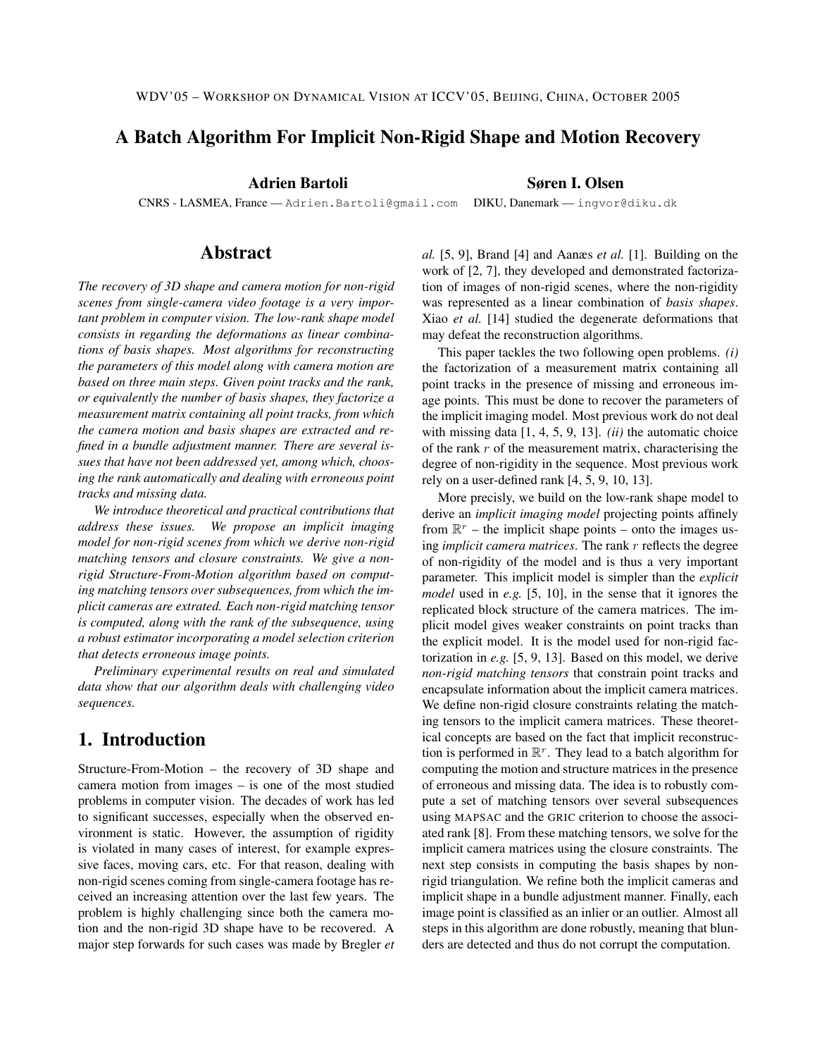# A Batch Algorithm For Implicit Non-Rigid Shape and Motion Recovery

Adrien Bartoli Søren I. Olsen

CNRS - LASMEA, France — Adrien.Bartoli@gmail.com DIKU, Danemark — ingvor@diku.dk

### Abstract

*The recovery of 3D shape and camera motion for non-rigid scenes from single-camera video footage is a very important problem in computer vision. The low-rank shape model consists in regarding the deformations as linear combinations of basis shapes. Most algorithms for reconstructing the parameters of this model along with camera motion are based on three main steps. Given point tracks and the rank, or equivalently the number of basis shapes, they factorize a measurement matrix containing all point tracks, from which the camera motion and basis shapes are extracted and refined in a bundle adjustment manner. There are several issues that have not been addressed yet, among which, choosing the rank automatically and dealing with erroneous point tracks and missing data.*

*We introduce theoretical and practical contributions that address these issues. We propose an implicit imaging model for non-rigid scenes from which we derive non-rigid matching tensors and closure constraints. We give a nonrigid Structure-From-Motion algorithm based on computing matching tensors over subsequences, from which the implicit cameras are extrated. Each non-rigid matching tensor is computed, along with the rank of the subsequence, using a robust estimator incorporating a model selection criterion that detects erroneous image points.*

*Preliminary experimental results on real and simulated data show that our algorithm deals with challenging video sequences.*

# 1. Introduction

Structure-From-Motion – the recovery of 3D shape and camera motion from images – is one of the most studied problems in computer vision. The decades of work has led to significant successes, especially when the observed environment is static. However, the assumption of rigidity is violated in many cases of interest, for example expressive faces, moving cars, etc. For that reason, dealing with non-rigid scenes coming from single-camera footage has received an increasing attention over the last few years. The problem is highly challenging since both the camera motion and the non-rigid 3D shape have to be recovered. A major step forwards for such cases was made by Bregler *et* *al.* [5, 9], Brand [4] and Aanæs *et al.* [1]. Building on the work of [2, 7], they developed and demonstrated factorization of images of non-rigid scenes, where the non-rigidity was represented as a linear combination of *basis shapes*. Xiao *et al.* [14] studied the degenerate deformations that may defeat the reconstruction algorithms.

This paper tackles the two following open problems. *(i)* the factorization of a measurement matrix containing all point tracks in the presence of missing and erroneous image points. This must be done to recover the parameters of the implicit imaging model. Most previous work do not deal with missing data [1, 4, 5, 9, 13]. *(ii)* the automatic choice of the rank  $r$  of the measurement matrix, characterising the degree of non-rigidity in the sequence. Most previous work rely on a user-defined rank [4, 5, 9, 10, 13].

More precisly, we build on the low-rank shape model to derive an *implicit imaging model* projecting points affinely from  $\mathbb{R}^r$  – the implicit shape points – onto the images using *implicit camera matrices*. The rank r reflects the degree of non-rigidity of the model and is thus a very important parameter. This implicit model is simpler than the *explicit model* used in *e.g.* [5, 10], in the sense that it ignores the replicated block structure of the camera matrices. The implicit model gives weaker constraints on point tracks than the explicit model. It is the model used for non-rigid factorization in *e.g.* [5, 9, 13]. Based on this model, we derive *non-rigid matching tensors* that constrain point tracks and encapsulate information about the implicit camera matrices. We define non-rigid closure constraints relating the matching tensors to the implicit camera matrices. These theoretical concepts are based on the fact that implicit reconstruction is performed in  $\mathbb{R}^r$ . They lead to a batch algorithm for computing the motion and structure matrices in the presence of erroneous and missing data. The idea is to robustly compute a set of matching tensors over several subsequences using MAPSAC and the GRIC criterion to choose the associated rank [8]. From these matching tensors, we solve for the implicit camera matrices using the closure constraints. The next step consists in computing the basis shapes by nonrigid triangulation. We refine both the implicit cameras and implicit shape in a bundle adjustment manner. Finally, each image point is classified as an inlier or an outlier. Almost all steps in this algorithm are done robustly, meaning that blunders are detected and thus do not corrupt the computation.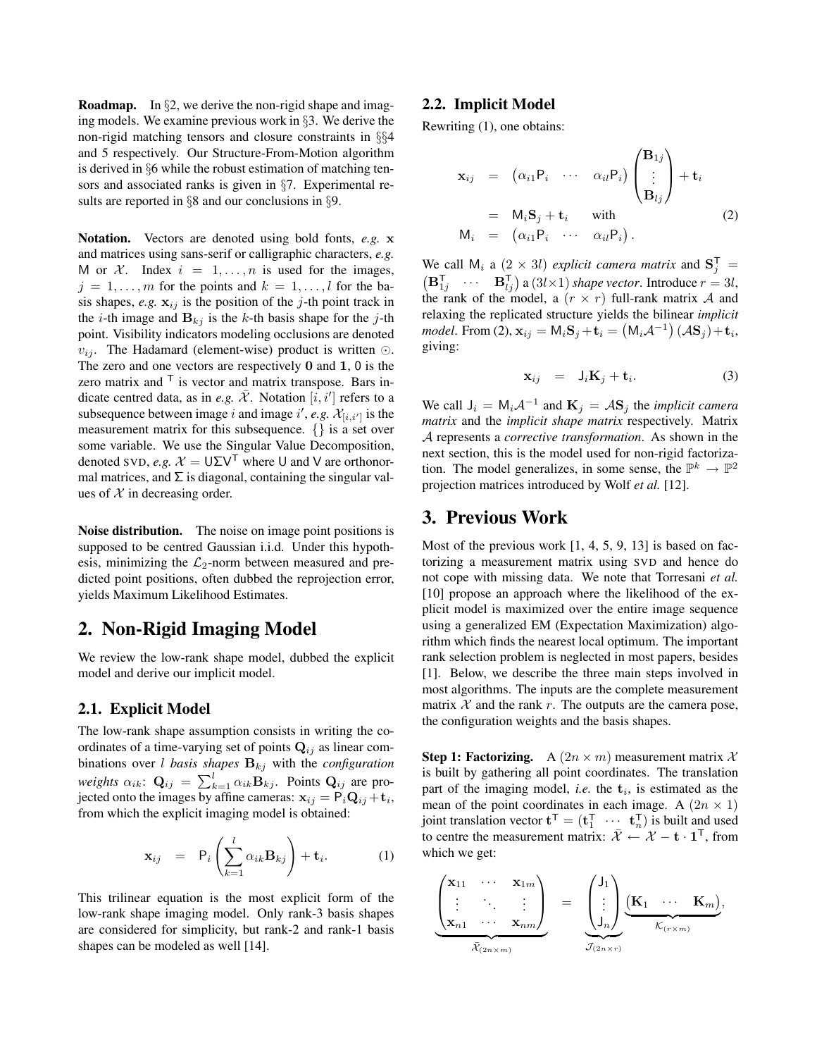**Roadmap.** In  $\S$ 2, we derive the non-rigid shape and imaging models. We examine previous work in §3. We derive the non-rigid matching tensors and closure constraints in §§4 and 5 respectively. Our Structure-From-Motion algorithm is derived in §6 while the robust estimation of matching tensors and associated ranks is given in §7. Experimental results are reported in §8 and our conclusions in §9.

Notation. Vectors are denoted using bold fonts, *e.g.* x and matrices using sans-serif or calligraphic characters, *e.g.* M or  $\mathcal{X}$ . Index  $i = 1, \ldots, n$  is used for the images,  $j = 1, \ldots, m$  for the points and  $k = 1, \ldots, l$  for the basis shapes,  $e.g.$   $\mathbf{x}_{ij}$  is the position of the j-th point track in the *i*-th image and  $B_{kj}$  is the *k*-th basis shape for the *j*-th point. Visibility indicators modeling occlusions are denoted  $v_{ij}$ . The Hadamard (element-wise) product is written  $\odot$ . The zero and one vectors are respectively 0 and 1, 0 is the zero matrix and  $\overline{f}$  is vector and matrix transpose. Bars indicate centred data, as in *e.g.*  $\overline{\mathcal{X}}$ . Notation  $[i, i']$  refers to a subsequence between image i and image i', e.g.  $\mathcal{X}_{[i,i']}$  is the measurement matrix for this subsequence. {} is a set over some variable. We use the Singular Value Decomposition, denoted SVD, *e.g.*  $\mathcal{X} = \bigcup \Sigma \bigvee^{\mathsf{T}}$  where U and V are orthonormal matrices, and  $\Sigma$  is diagonal, containing the singular values of  $X$  in decreasing order.

Noise distribution. The noise on image point positions is supposed to be centred Gaussian i.i.d. Under this hypothesis, minimizing the  $\mathcal{L}_2$ -norm between measured and predicted point positions, often dubbed the reprojection error, yields Maximum Likelihood Estimates.

### 2. Non-Rigid Imaging Model

We review the low-rank shape model, dubbed the explicit model and derive our implicit model.

#### 2.1. Explicit Model

The low-rank shape assumption consists in writing the coordinates of a time-varying set of points  $Q_{ij}$  as linear combinations over *l* basis shapes  $B_{kj}$  with the *configuration weights*  $\alpha_{ik}$ :  $\mathbf{Q}_{ij} = \sum_{k=1}^{l} \alpha_{ik} \mathbf{B}_{kj}$ . Points  $\mathbf{Q}_{ij}$  are projected onto the images by affine cameras:  $\mathbf{x}_{ij} = \mathsf{P}_i \mathbf{Q}_{ij} + \mathbf{t}_i$ , from which the explicit imaging model is obtained:

$$
\mathbf{x}_{ij} = \mathsf{P}_i \left( \sum_{k=1}^l \alpha_{ik} \mathbf{B}_{kj} \right) + \mathbf{t}_i. \tag{1}
$$

This trilinear equation is the most explicit form of the low-rank shape imaging model. Only rank-3 basis shapes are considered for simplicity, but rank-2 and rank-1 basis shapes can be modeled as well [14].

#### 2.2. Implicit Model

Rewriting (1), one obtains:

$$
\mathbf{x}_{ij} = (\alpha_{i1} P_i \cdots \alpha_{il} P_i) \begin{pmatrix} \mathbf{B}_{1j} \\ \vdots \\ \mathbf{B}_{lj} \end{pmatrix} + \mathbf{t}_i
$$
  
\n=  $M_i \mathbf{S}_j + \mathbf{t}_i$  with  
\n
$$
M_i = (\alpha_{i1} P_i \cdots \alpha_{il} P_i).
$$
 (2)

We call  $M_i$  a  $(2 \times 3l)$  *explicit camera matrix* and  $S_j^T =$  $(\mathbf{B}_{1j}^{\mathsf{T}} \quad \cdots \quad \mathbf{B}_{lj}^{\mathsf{T}})$  a  $(3l \times 1)$  *shape vector*. Introduce  $r = 3l$ , the rank of the model, a  $(r \times r)$  full-rank matrix A and relaxing the replicated structure yields the bilinear *implicit model*. From (2),  $\mathbf{x}_{ij} = M_i \mathbf{S}_j + \mathbf{t}_i = (M_i A^{-1})(A\mathbf{S}_j) + \mathbf{t}_i$ , giving:

$$
\mathbf{x}_{ij} = \mathbf{J}_i \mathbf{K}_j + \mathbf{t}_i. \tag{3}
$$

We call  $J_i = M_i A^{-1}$  and  $K_j = A S_j$  the *implicit camera matrix* and the *implicit shape matrix* respectively. Matrix A represents a *corrective transformation*. As shown in the next section, this is the model used for non-rigid factorization. The model generalizes, in some sense, the  $\mathbb{P}^k \to \mathbb{P}^2$ projection matrices introduced by Wolf *et al.* [12].

### 3. Previous Work

Most of the previous work [1, 4, 5, 9, 13] is based on factorizing a measurement matrix using SVD and hence do not cope with missing data. We note that Torresani *et al.* [10] propose an approach where the likelihood of the explicit model is maximized over the entire image sequence using a generalized EM (Expectation Maximization) algorithm which finds the nearest local optimum. The important rank selection problem is neglected in most papers, besides [1]. Below, we describe the three main steps involved in most algorithms. The inputs are the complete measurement matrix  $X$  and the rank  $r$ . The outputs are the camera pose, the configuration weights and the basis shapes.

**Step 1: Factorizing.** A  $(2n \times m)$  measurement matrix X is built by gathering all point coordinates. The translation part of the imaging model, *i.e.* the  $t_i$ , is estimated as the mean of the point coordinates in each image. A  $(2n \times 1)$ joint translation vector  $\mathbf{t}^{\mathsf{T}} = (\mathbf{t}_1^{\mathsf{T}} \ \cdots \ \mathbf{t}_n^{\mathsf{T}})$  is built and used to centre the measurement matrix:  $\overline{\mathcal{X}} \leftarrow \mathcal{X} - \mathbf{t} \cdot \mathbf{1}^{\mathsf{T}}$ , from which we get:

$$
\underbrace{\begin{pmatrix} \mathbf{x}_{11} & \cdots & \mathbf{x}_{1m} \\ \vdots & \ddots & \vdots \\ \mathbf{x}_{n1} & \cdots & \mathbf{x}_{nm} \end{pmatrix}}_{\bar{\mathcal{X}}_{(2n\times m)}} = \underbrace{\begin{pmatrix} J_1 \\ \vdots \\ J_n \end{pmatrix}}_{\mathcal{J}_{(2n\times r)}} \underbrace{\begin{pmatrix} \mathbf{K}_1 & \cdots & \mathbf{K}_m \end{pmatrix}}_{\mathcal{K}_{(r\times m)}},
$$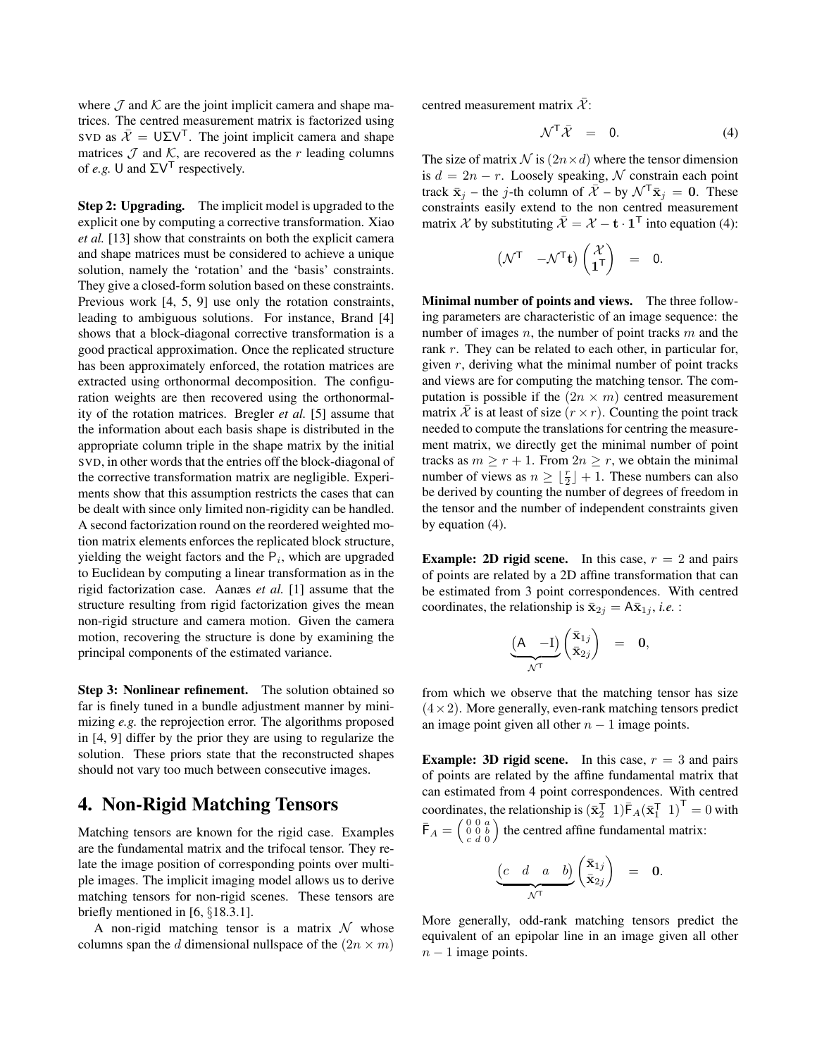where  $\mathcal J$  and  $\mathcal K$  are the joint implicit camera and shape matrices. The centred measurement matrix is factorized using SVD as  $\overline{\mathcal{X}} = \overline{U} \Sigma \overline{V}$ . The joint implicit camera and shape matrices  $\mathcal J$  and  $\mathcal K$ , are recovered as the r leading columns of *e.g.* U and  $\Sigma V^T$  respectively.

Step 2: Upgrading. The implicit model is upgraded to the explicit one by computing a corrective transformation. Xiao *et al.* [13] show that constraints on both the explicit camera and shape matrices must be considered to achieve a unique solution, namely the 'rotation' and the 'basis' constraints. They give a closed-form solution based on these constraints. Previous work [4, 5, 9] use only the rotation constraints, leading to ambiguous solutions. For instance, Brand [4] shows that a block-diagonal corrective transformation is a good practical approximation. Once the replicated structure has been approximately enforced, the rotation matrices are extracted using orthonormal decomposition. The configuration weights are then recovered using the orthonormality of the rotation matrices. Bregler *et al.* [5] assume that the information about each basis shape is distributed in the appropriate column triple in the shape matrix by the initial SVD, in other words that the entries off the block-diagonal of the corrective transformation matrix are negligible. Experiments show that this assumption restricts the cases that can be dealt with since only limited non-rigidity can be handled. A second factorization round on the reordered weighted motion matrix elements enforces the replicated block structure, yielding the weight factors and the  $P_i$ , which are upgraded to Euclidean by computing a linear transformation as in the rigid factorization case. Aanæs *et al.* [1] assume that the structure resulting from rigid factorization gives the mean non-rigid structure and camera motion. Given the camera motion, recovering the structure is done by examining the principal components of the estimated variance.

Step 3: Nonlinear refinement. The solution obtained so far is finely tuned in a bundle adjustment manner by minimizing *e.g.* the reprojection error. The algorithms proposed in [4, 9] differ by the prior they are using to regularize the solution. These priors state that the reconstructed shapes should not vary too much between consecutive images.

### 4. Non-Rigid Matching Tensors

Matching tensors are known for the rigid case. Examples are the fundamental matrix and the trifocal tensor. They relate the image position of corresponding points over multiple images. The implicit imaging model allows us to derive matching tensors for non-rigid scenes. These tensors are briefly mentioned in [6, §18.3.1].

A non-rigid matching tensor is a matrix  $\mathcal N$  whose columns span the d dimensional nullspace of the  $(2n \times m)$  centred measurement matrix  $\overline{\mathcal{X}}$ :

$$
\mathcal{N}^{\mathsf{T}}\bar{\mathcal{X}} = 0. \tag{4}
$$

The size of matrix  $N$  is  $(2n \times d)$  where the tensor dimension is  $d = 2n - r$ . Loosely speaking, N constrain each point track  $\bar{\mathbf{x}}_j$  – the j-th column of  $\bar{\mathcal{X}}$  – by  $\mathcal{N}^\mathsf{T} \bar{\mathbf{x}}_j = \mathbf{0}$ . These constraints easily extend to the non centred measurement matrix X by substituting  $\overline{X} = X - \mathbf{t} \cdot \mathbf{1}^\mathsf{T}$  into equation (4):

$$
\begin{pmatrix} \mathcal{N}^{\mathsf{T}} & -\mathcal{N}^{\mathsf{T}} \mathbf{t} \end{pmatrix} \begin{pmatrix} \mathcal{X} \\ \mathbf{1}^{\mathsf{T}} \end{pmatrix} = 0.
$$

Minimal number of points and views. The three following parameters are characteristic of an image sequence: the number of images  $n$ , the number of point tracks  $m$  and the rank r. They can be related to each other, in particular for, given  $r$ , deriving what the minimal number of point tracks and views are for computing the matching tensor. The computation is possible if the  $(2n \times m)$  centred measurement matrix X is at least of size  $(r \times r)$ . Counting the point track needed to compute the translations for centring the measurement matrix, we directly get the minimal number of point tracks as  $m \ge r + 1$ . From  $2n \ge r$ , we obtain the minimal number of views as  $n \geq \lfloor \frac{r}{2} \rfloor + 1$ . These numbers can also be derived by counting the number of degrees of freedom in the tensor and the number of independent constraints given by equation (4).

**Example: 2D rigid scene.** In this case,  $r = 2$  and pairs of points are related by a 2D affine transformation that can be estimated from 3 point correspondences. With centred coordinates, the relationship is  $\bar{\mathbf{x}}_{2j} = A\bar{\mathbf{x}}_{1j}$ , *i.e.* :

$$
\underbrace{(A \quad -I)}_{\mathcal{N}^T} \begin{pmatrix} \bar{\mathbf{x}}_{1j} \\ \bar{\mathbf{x}}_{2j} \end{pmatrix} = \mathbf{0},
$$

from which we observe that the matching tensor has size  $(4\times2)$ . More generally, even-rank matching tensors predict an image point given all other  $n - 1$  image points.

**Example: 3D rigid scene.** In this case,  $r = 3$  and pairs of points are related by the affine fundamental matrix that can estimated from 4 point correspondences. With centred coordinates, the relationship is  $(\bar{\mathbf{x}}_2^T \quad 1) \bar{\mathsf{F}}_A (\bar{\mathbf{x}}_1^T \quad 1)^T = 0$  with  $\bar{\mathsf{F}}_A = \left(\begin{smallmatrix} 0 & 0 & a \\ 0 & 0 & b \\ c & d & 0 \end{smallmatrix}\right)$ ) the centred affine fundamental matrix:

$$
\underbrace{(c \ d \ a \ b)}_{\mathcal{N}^{\mathsf{T}}} \begin{pmatrix} \bar{\mathbf{x}}_{1j} \\ \bar{\mathbf{x}}_{2j} \end{pmatrix} = \mathbf{0}.
$$

More generally, odd-rank matching tensors predict the equivalent of an epipolar line in an image given all other  $n - 1$  image points.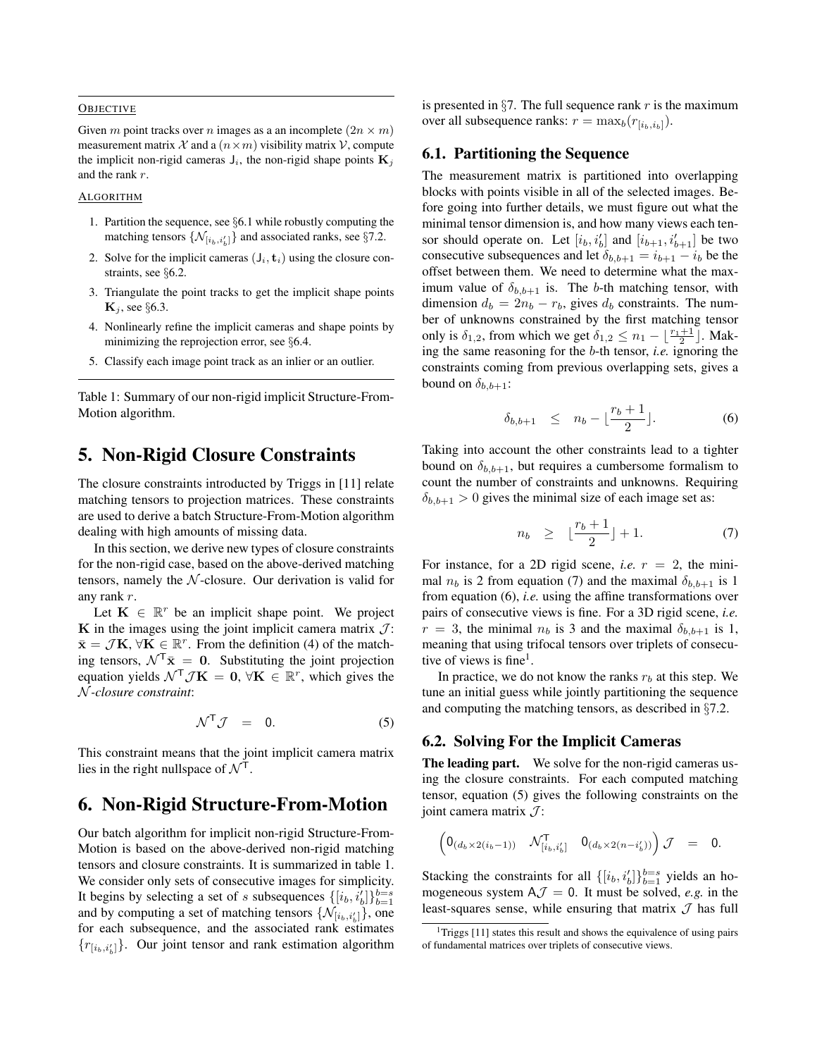#### **OBJECTIVE**

Given m point tracks over n images as a an incomplete  $(2n \times m)$ measurement matrix X and a  $(n \times m)$  visibility matrix V, compute the implicit non-rigid cameras  $J_i$ , the non-rigid shape points  $\mathbf{K}_j$ and the rank r.

#### ALGORITHM

- 1. Partition the sequence, see §6.1 while robustly computing the matching tensors  $\{ \mathcal{N}_{[i_b, i_b']} \}$  and associated ranks, see §7.2.
- 2. Solve for the implicit cameras  $(J_i, t_i)$  using the closure constraints, see §6.2.
- 3. Triangulate the point tracks to get the implicit shape points  $\mathbf{K}_j$ , see §6.3.
- 4. Nonlinearly refine the implicit cameras and shape points by minimizing the reprojection error, see §6.4.
- 5. Classify each image point track as an inlier or an outlier.

Table 1: Summary of our non-rigid implicit Structure-From-Motion algorithm.

### 5. Non-Rigid Closure Constraints

The closure constraints introducted by Triggs in [11] relate matching tensors to projection matrices. These constraints are used to derive a batch Structure-From-Motion algorithm dealing with high amounts of missing data.

In this section, we derive new types of closure constraints for the non-rigid case, based on the above-derived matching tensors, namely the  $N$ -closure. Our derivation is valid for any rank r.

Let  $\mathbf{K} \in \mathbb{R}^r$  be an implicit shape point. We project K in the images using the joint implicit camera matrix  $\mathcal{J}$ :  $\bar{\mathbf{x}} = \mathcal{J}\mathbf{K}, \forall \bar{\mathbf{K}} \in \mathbb{R}^r$ . From the definition (4) of the matching tensors,  $\mathcal{N}^T \bar{\mathbf{x}} = 0$ . Substituting the joint projection equation yields  $\mathcal{N}^\top \mathcal{J} \mathbf{K} = \mathbf{0}, \forall \mathbf{K} \in \mathbb{R}^r$ , which gives the N *-closure constraint*:

$$
\mathcal{N}^{\mathsf{T}}\mathcal{J} = 0. \tag{5}
$$

This constraint means that the joint implicit camera matrix lies in the right nullspace of  $N<sup>T</sup>$ .

# 6. Non-Rigid Structure-From-Motion

Our batch algorithm for implicit non-rigid Structure-From-Motion is based on the above-derived non-rigid matching tensors and closure constraints. It is summarized in table 1. We consider only sets of consecutive images for simplicity. It begins by selecting a set of s subsequences  $\{[i_b, i_b']\}_{b=1}^{b=s}$ and by computing a set of matching tensors  $\{\mathcal{N}_{[i_b, i_b']}\}\)$ , one for each subsequence, and the associated rank estimates  ${r_{[i_b,i'_b]}}$ . Our joint tensor and rank estimation algorithm

is presented in  $\S7$ . The full sequence rank r is the maximum over all subsequence ranks:  $r = \max_b(r_{[i_b,i_b]})$ .

#### 6.1. Partitioning the Sequence

The measurement matrix is partitioned into overlapping blocks with points visible in all of the selected images. Before going into further details, we must figure out what the minimal tensor dimension is, and how many views each tensor should operate on. Let  $[i_b, i'_b]$  and  $[i_{b+1}, i'_{b+1}]$  be two consecutive subsequences and let  $\delta_{b,b+1} = i_{b+1} - i_b$  be the offset between them. We need to determine what the maximum value of  $\delta_{b,b+1}$  is. The b-th matching tensor, with dimension  $d_b = 2n_b - r_b$ , gives  $d_b$  constraints. The number of unknowns constrained by the first matching tensor only is  $\delta_{1,2}$ , from which we get  $\delta_{1,2} \le n_1 - \lfloor \frac{r_1+1}{2} \rfloor$ . Making the same reasoning for the b-th tensor, *i.e.* ignoring the constraints coming from previous overlapping sets, gives a bound on  $\delta_{b,b+1}$ :

$$
\delta_{b,b+1} \leq n_b - \lfloor \frac{r_b+1}{2} \rfloor. \tag{6}
$$

Taking into account the other constraints lead to a tighter bound on  $\delta_{b,b+1}$ , but requires a cumbersome formalism to count the number of constraints and unknowns. Requiring  $\delta_{b,b+1} > 0$  gives the minimal size of each image set as:

$$
n_b \ge \lfloor \frac{r_b + 1}{2} \rfloor + 1. \tag{7}
$$

For instance, for a 2D rigid scene, *i.e.*  $r = 2$ , the minimal  $n_b$  is 2 from equation (7) and the maximal  $\delta_{b,b+1}$  is 1 from equation (6), *i.e.* using the affine transformations over pairs of consecutive views is fine. For a 3D rigid scene, *i.e.*  $r = 3$ , the minimal  $n_b$  is 3 and the maximal  $\delta_{b,b+1}$  is 1, meaning that using trifocal tensors over triplets of consecutive of views is fine<sup>1</sup>.

In practice, we do not know the ranks  $r_b$  at this step. We tune an initial guess while jointly partitioning the sequence and computing the matching tensors, as described in §7.2.

#### 6.2. Solving For the Implicit Cameras

The leading part. We solve for the non-rigid cameras using the closure constraints. For each computed matching tensor, equation (5) gives the following constraints on the joint camera matrix  $\mathcal{J}$ :

$$
\left(\begin{matrix}0_{(d_b\times 2(i_b-1))}&\mathcal{N}_{[i_b,i_b']}^{\mathsf{T}}&0_{(d_b\times 2(n-i_b'))}\end{matrix}\right)\mathcal{J} = 0.
$$

Stacking the constraints for all  $\{[i_b, i_b]\}_{b=1}^{b=s}$  yields an homogeneous system  $A\mathcal{J} = 0$ . It must be solved, *e.g.* in the least-squares sense, while ensuring that matrix  $\mathcal J$  has full

<sup>&</sup>lt;sup>1</sup>Triggs  $[11]$  states this result and shows the equivalence of using pairs of fundamental matrices over triplets of consecutive views.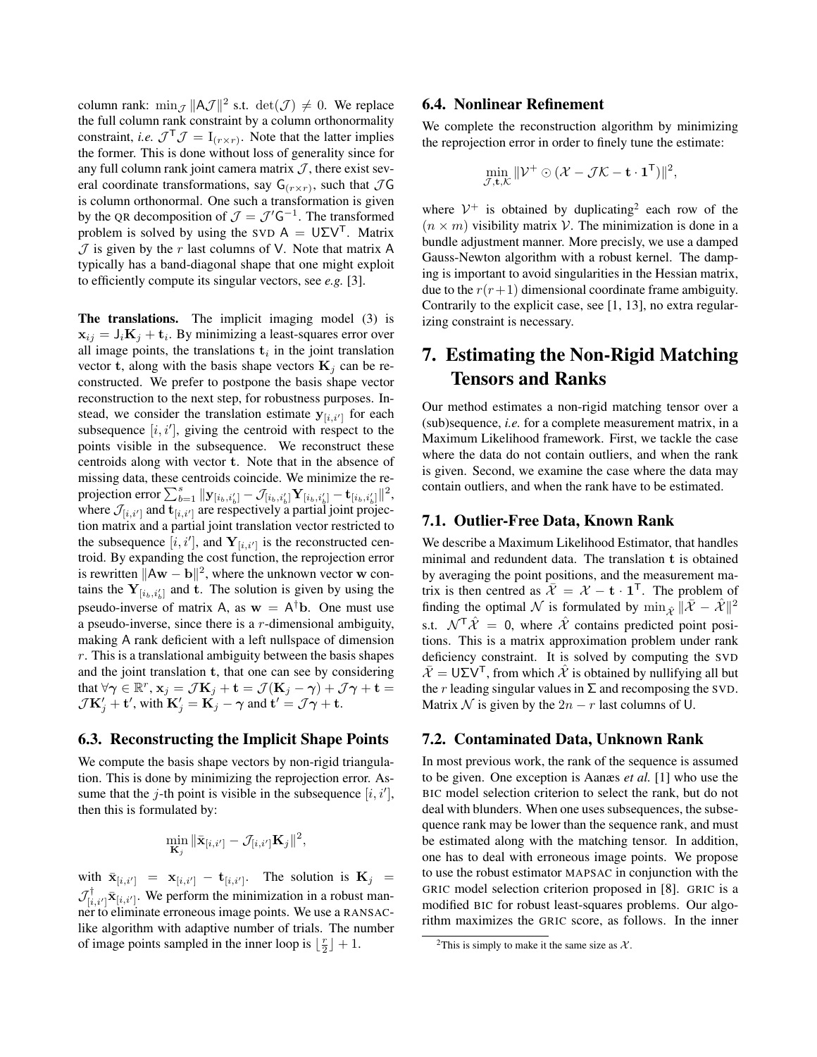column rank:  $\min_{\mathcal{J}} ||A\mathcal{J}||^2$  s.t.  $\det(\mathcal{J}) \neq 0$ . We replace the full column rank constraint by a column orthonormality constraint, *i.e.*  $\mathcal{J}^{\mathsf{T}}\mathcal{J} = I_{(r \times r)}$ . Note that the latter implies the former. This is done without loss of generality since for any full column rank joint camera matrix  $J$ , there exist several coordinate transformations, say  $G(r \times r)$ , such that  $\mathcal{J}G$ is column orthonormal. One such a transformation is given by the QR decomposition of  $\mathcal{J} = \mathcal{J}' \mathsf{G}^{-1}$ . The transformed problem is solved by using the SVD  $A = U\Sigma V^{T}$ . Matrix  $J$  is given by the r last columns of V. Note that matrix A typically has a band-diagonal shape that one might exploit to efficiently compute its singular vectors, see *e.g.* [3].

The translations. The implicit imaging model (3) is  $\mathbf{x}_{ij} = \mathsf{J}_i \mathbf{K}_j + \mathbf{t}_i$ . By minimizing a least-squares error over all image points, the translations  $t_i$  in the joint translation vector t, along with the basis shape vectors  $\mathbf{K}_i$  can be reconstructed. We prefer to postpone the basis shape vector reconstruction to the next step, for robustness purposes. Instead, we consider the translation estimate  $y_{[i,i']}$  for each subsequence  $[i, i']$ , giving the centroid with respect to the points visible in the subsequence. We reconstruct these centroids along with vector t. Note that in the absence of missing data, these centroids coincide. We minimize the reprojection error  $\sum_{b=1}^s \| \mathbf{y}_{[i_b,i_b']} - \mathcal{J}_{[i_b,i_b']} \mathbf{Y}_{[i_b,i_b']} - \mathbf{t}_{[i_b,i_b']} \|^2,$ where  $\mathcal{J}_{[i,i']}$  and  $\mathbf{t}_{[i,i']}$  are respectively a partial joint projection matrix and a partial joint translation vector restricted to the subsequence  $[i, i']$ , and  $Y_{[i, i']}$  is the reconstructed centroid. By expanding the cost function, the reprojection error is rewritten  $\|\mathbf{A}\mathbf{w} - \mathbf{b}\|^2$ , where the unknown vector w contains the  $Y_{[i_b,i'_b]}$  and t. The solution is given by using the pseudo-inverse of matrix A, as  $w = A^{\dagger}b$ . One must use a pseudo-inverse, since there is a r-dimensional ambiguity, making A rank deficient with a left nullspace of dimension  $r$ . This is a translational ambiguity between the basis shapes and the joint translation t, that one can see by considering that  $\forall \gamma \in \mathbb{R}^r$ ,  $\mathbf{x}_j = \mathcal{J}\mathbf{K}_j + \mathbf{t} = \mathcal{J}(\mathbf{K}_j - \gamma) + \mathcal{J}\gamma + \mathbf{t} =$  $\mathcal{J}\mathbf{K}'_j + \mathbf{t}'$ , with  $\mathbf{K}'_j = \mathbf{K}_j - \boldsymbol{\gamma}$  and  $\mathbf{t}' = \mathcal{J}\boldsymbol{\gamma} + \mathbf{t}$ .

#### 6.3. Reconstructing the Implicit Shape Points

We compute the basis shape vectors by non-rigid triangulation. This is done by minimizing the reprojection error. Assume that the j-th point is visible in the subsequence  $[i, i'],$ then this is formulated by:

$$
\min_{\mathbf{K}_j} \|\bar{\mathbf{x}}_{[i,i']} - \mathcal{J}_{[i,i']} \mathbf{K}_j \|^2,
$$

with  $\bar{\mathbf{x}}_{[i,i']} = \mathbf{x}_{[i,i']} - \mathbf{t}_{[i,i']}$ . The solution is  $\mathbf{K}_j =$  $\mathcal{J}_{[i,i']}^{\dagger}$   $\bar{\mathbf{x}}_{[i,i']}$ . We perform the minimization in a robust manner to eliminate erroneous image points. We use a RANSAClike algorithm with adaptive number of trials. The number of image points sampled in the inner loop is  $\lfloor \frac{r}{2} \rfloor + 1$ .

#### 6.4. Nonlinear Refinement

We complete the reconstruction algorithm by minimizing the reprojection error in order to finely tune the estimate:

$$
\min_{\mathcal{J}, \mathbf{t}, \mathcal{K}} \|\mathcal{V}^+ \odot (\mathcal{X} - \mathcal{J}\mathcal{K} - \mathbf{t} \cdot \mathbf{1}^{\mathsf{T}})\|^2,
$$

where  $V^+$  is obtained by duplicating<sup>2</sup> each row of the  $(n \times m)$  visibility matrix V. The minimization is done in a bundle adjustment manner. More precisly, we use a damped Gauss-Newton algorithm with a robust kernel. The damping is important to avoid singularities in the Hessian matrix, due to the  $r(r+1)$  dimensional coordinate frame ambiguity. Contrarily to the explicit case, see [1, 13], no extra regularizing constraint is necessary.

# 7. Estimating the Non-Rigid Matching Tensors and Ranks

Our method estimates a non-rigid matching tensor over a (sub)sequence, *i.e.* for a complete measurement matrix, in a Maximum Likelihood framework. First, we tackle the case where the data do not contain outliers, and when the rank is given. Second, we examine the case where the data may contain outliers, and when the rank have to be estimated.

#### 7.1. Outlier-Free Data, Known Rank

We describe a Maximum Likelihood Estimator, that handles minimal and redundent data. The translation t is obtained by averaging the point positions, and the measurement matrix is then centred as  $\overline{\mathcal{X}} = \mathcal{X} - \mathbf{t} \cdot \mathbf{1}^T$ . The problem of finding the optimal N is formulated by  $\min_{\hat{X}} \|\bar{X} - \hat{X}\|^2$ s.t.  $\mathcal{N}^{\mathsf{T}}\hat{\mathcal{X}} = 0$ , where  $\hat{\mathcal{X}}$  contains predicted point positions. This is a matrix approximation problem under rank deficiency constraint. It is solved by computing the SVD  $\mathcal{X} = \mathsf{U} \Sigma \mathsf{V}^\mathsf{T}$ , from which X is obtained by nullifying all but the r leading singular values in  $\Sigma$  and recomposing the SVD. Matrix N is given by the  $2n - r$  last columns of U.

#### 7.2. Contaminated Data, Unknown Rank

In most previous work, the rank of the sequence is assumed to be given. One exception is Aanæs *et al.* [1] who use the BIC model selection criterion to select the rank, but do not deal with blunders. When one uses subsequences, the subsequence rank may be lower than the sequence rank, and must be estimated along with the matching tensor. In addition, one has to deal with erroneous image points. We propose to use the robust estimator MAPSAC in conjunction with the GRIC model selection criterion proposed in [8]. GRIC is a modified BIC for robust least-squares problems. Our algorithm maximizes the GRIC score, as follows. In the inner

<sup>&</sup>lt;sup>2</sup>This is simply to make it the same size as  $\mathcal{X}$ .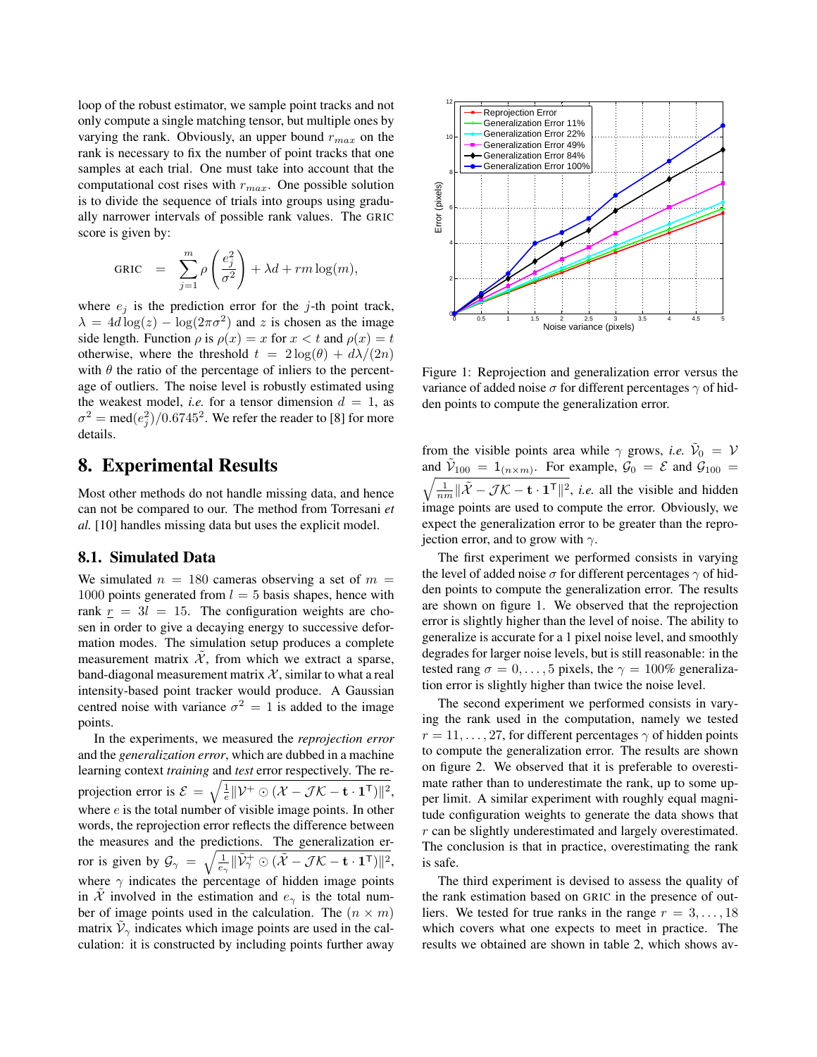loop of the robust estimator, we sample point tracks and not only compute a single matching tensor, but multiple ones by varying the rank. Obviously, an upper bound  $r_{max}$  on the rank is necessary to fix the number of point tracks that one samples at each trial. One must take into account that the computational cost rises with  $r_{max}$ . One possible solution is to divide the sequence of trials into groups using gradually narrower intervals of possible rank values. The GRIC score is given by:

$$
GRIC = \sum_{j=1}^{m} \rho \left(\frac{e_j^2}{\sigma^2}\right) + \lambda d + rm \log(m),
$$

where  $e_i$  is the prediction error for the j-th point track,  $\lambda = 4d \log(z) - \log(2\pi\sigma^2)$  and z is chosen as the image side length. Function  $\rho$  is  $\rho(x) = x$  for  $x < t$  and  $\rho(x) = t$ otherwise, where the threshold  $t = 2 \log(\theta) + d\lambda/(2n)$ with  $\theta$  the ratio of the percentage of inliers to the percentage of outliers. The noise level is robustly estimated using the weakest model, *i.e.* for a tensor dimension  $d = 1$ , as  $\sigma^2 = \text{med}(e_j^2)/0.6745^2$ . We refer the reader to [8] for more details.

# 8. Experimental Results

Most other methods do not handle missing data, and hence can not be compared to our. The method from Torresani *et al.* [10] handles missing data but uses the explicit model.

#### 8.1. Simulated Data

We simulated  $n = 180$  cameras observing a set of  $m =$ 1000 points generated from  $l = 5$  basis shapes, hence with rank  $r = 3l = 15$ . The configuration weights are chosen in order to give a decaying energy to successive deformation modes. The simulation setup produces a complete measurement matrix  $\tilde{\mathcal{X}}$ , from which we extract a sparse, band-diagonal measurement matrix  $\mathcal{X}$ , similar to what a real intensity-based point tracker would produce. A Gaussian centred noise with variance  $\sigma^2 = 1$  is added to the image points.

In the experiments, we measured the *reprojection error* and the *generalization error*, which are dubbed in a machine learning context *training* and *test* error respectively. The reprojection error is  $\mathcal{E} = \sqrt{\frac{1}{e} ||\mathcal{V}^+ \odot (\mathcal{X} - \mathcal{J} \mathcal{K} - \mathbf{t} \cdot \mathbf{1}^{\mathsf{T}})||^2},$ where  $e$  is the total number of visible image points. In other words, the reprojection error reflects the difference between the measures and the predictions. The generalization error is given by  $\mathcal{G}_{\gamma} = \sqrt{\frac{1}{e_{\gamma}} \|\tilde{\mathcal{V}}_{\gamma}^{+} \odot (\tilde{\mathcal{X}} - \mathcal{J}\mathcal{K} - \mathbf{t} \cdot \mathbf{1}^{\mathsf{T}})\|^2},$ where  $\gamma$  indicates the percentage of hidden image points in  $\hat{\mathcal{X}}$  involved in the estimation and  $e_{\gamma}$  is the total number of image points used in the calculation. The  $(n \times m)$ matrix  $\tilde{\mathcal{V}}_{\gamma}$  indicates which image points are used in the calculation: it is constructed by including points further away



Figure 1: Reprojection and generalization error versus the variance of added noise  $\sigma$  for different percentages  $\gamma$  of hidden points to compute the generalization error.

from the visible points area while  $\gamma$  grows, *i.e.*  $\tilde{V}_0 = V$ and  $\tilde{V}_{100} = 1_{(n \times m)}$ . For example,  $\tilde{\mathcal{G}}_0 = \mathcal{E}$  and  $\tilde{\mathcal{G}}_{100} =$  $\sqrt{\frac{1}{nm} \|\tilde{\mathcal{X}} - \mathcal{J}\mathcal{K} - \mathbf{t} \cdot \mathbf{1}^\top\|^2}$ , *i.e.* all the visible and hidden image points are used to compute the error. Obviously, we expect the generalization error to be greater than the reprojection error, and to grow with  $\gamma$ .

The first experiment we performed consists in varying the level of added noise  $\sigma$  for different percentages  $\gamma$  of hidden points to compute the generalization error. The results are shown on figure 1. We observed that the reprojection error is slightly higher than the level of noise. The ability to generalize is accurate for a 1 pixel noise level, and smoothly degrades for larger noise levels, but is still reasonable: in the tested rang  $\sigma = 0, \ldots, 5$  pixels, the  $\gamma = 100\%$  generalization error is slightly higher than twice the noise level.

The second experiment we performed consists in varying the rank used in the computation, namely we tested  $r = 11, \ldots, 27$ , for different percentages  $\gamma$  of hidden points to compute the generalization error. The results are shown on figure 2. We observed that it is preferable to overestimate rather than to underestimate the rank, up to some upper limit. A similar experiment with roughly equal magnitude configuration weights to generate the data shows that r can be slightly underestimated and largely overestimated. The conclusion is that in practice, overestimating the rank is safe.

The third experiment is devised to assess the quality of the rank estimation based on GRIC in the presence of outliers. We tested for true ranks in the range  $r = 3, \ldots, 18$ which covers what one expects to meet in practice. The results we obtained are shown in table 2, which shows av-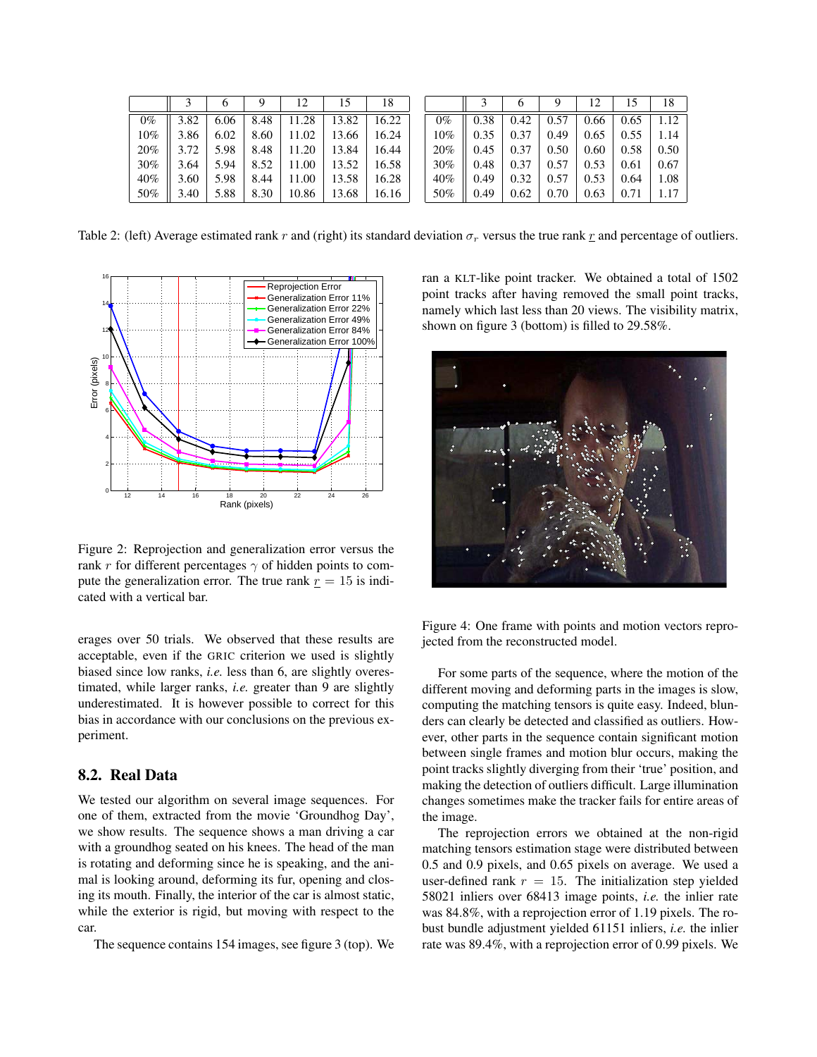|       |      |      | ч    |       | 15    | 18    |       |      | O    | ч    |      |           | 18   |
|-------|------|------|------|-------|-------|-------|-------|------|------|------|------|-----------|------|
| $0\%$ | 3.82 | 6.06 | 8.48 | .28   | 13.82 | 16.22 | $0\%$ | 0.38 | 0.42 | 0.57 | 0.66 | 0.65      | 1.12 |
| 10%   | 3.86 | 6.02 | 8.60 | 1.02  | 13.66 | 16.24 | 10%   | 0.35 | 0.37 | 0.49 | 0.65 | 0.55      | 1.14 |
| 20%   | 3.72 | 5.98 | 8.48 | .20   | 13.84 | 16.44 | 20%   | 0.45 | 0.37 | 0.50 | 0.60 | 0.58      | 0.50 |
| 30%   | 3.64 | 5.94 | 8.52 | .00   | 13.52 | 16.58 | 30%   | 0.48 | 0.37 | 0.57 | 0.53 | 0.61      | 0.67 |
| 40%   | 3.60 | 5.98 | 8.44 | .00   | 13.58 | 16.28 | 40%   | 0.49 | 0.32 | 0.57 | 0.53 | 0.64      | 1.08 |
| 50%   | 3.40 | 5.88 | 8.30 | 10.86 | 13.68 | 16.16 | 50%   | 0.49 | 0.62 | 0.70 | 0.63 | $^{0.71}$ | 1.17 |

Table 2: (left) Average estimated rank r and (right) its standard deviation  $\sigma_r$  versus the true rank r and percentage of outliers.



Figure 2: Reprojection and generalization error versus the rank r for different percentages  $\gamma$  of hidden points to compute the generalization error. The true rank  $r = 15$  is indicated with a vertical bar.

erages over 50 trials. We observed that these results are acceptable, even if the GRIC criterion we used is slightly biased since low ranks, *i.e.* less than 6, are slightly overestimated, while larger ranks, *i.e.* greater than 9 are slightly underestimated. It is however possible to correct for this bias in accordance with our conclusions on the previous experiment.

#### 8.2. Real Data

We tested our algorithm on several image sequences. For one of them, extracted from the movie 'Groundhog Day', we show results. The sequence shows a man driving a car with a groundhog seated on his knees. The head of the man is rotating and deforming since he is speaking, and the animal is looking around, deforming its fur, opening and closing its mouth. Finally, the interior of the car is almost static, while the exterior is rigid, but moving with respect to the car.

The sequence contains 154 images, see figure 3 (top). We

ran a KLT-like point tracker. We obtained a total of 1502 point tracks after having removed the small point tracks, namely which last less than 20 views. The visibility matrix, shown on figure 3 (bottom) is filled to 29.58%.



Figure 4: One frame with points and motion vectors reprojected from the reconstructed model.

For some parts of the sequence, where the motion of the different moving and deforming parts in the images is slow, computing the matching tensors is quite easy. Indeed, blunders can clearly be detected and classified as outliers. However, other parts in the sequence contain significant motion between single frames and motion blur occurs, making the point tracks slightly diverging from their 'true' position, and making the detection of outliers difficult. Large illumination changes sometimes make the tracker fails for entire areas of the image.

The reprojection errors we obtained at the non-rigid matching tensors estimation stage were distributed between 0.5 and 0.9 pixels, and 0.65 pixels on average. We used a user-defined rank  $r = 15$ . The initialization step yielded 58021 inliers over 68413 image points, *i.e.* the inlier rate was 84.8%, with a reprojection error of 1.19 pixels. The robust bundle adjustment yielded 61151 inliers, *i.e.* the inlier rate was 89.4%, with a reprojection error of 0.99 pixels. We